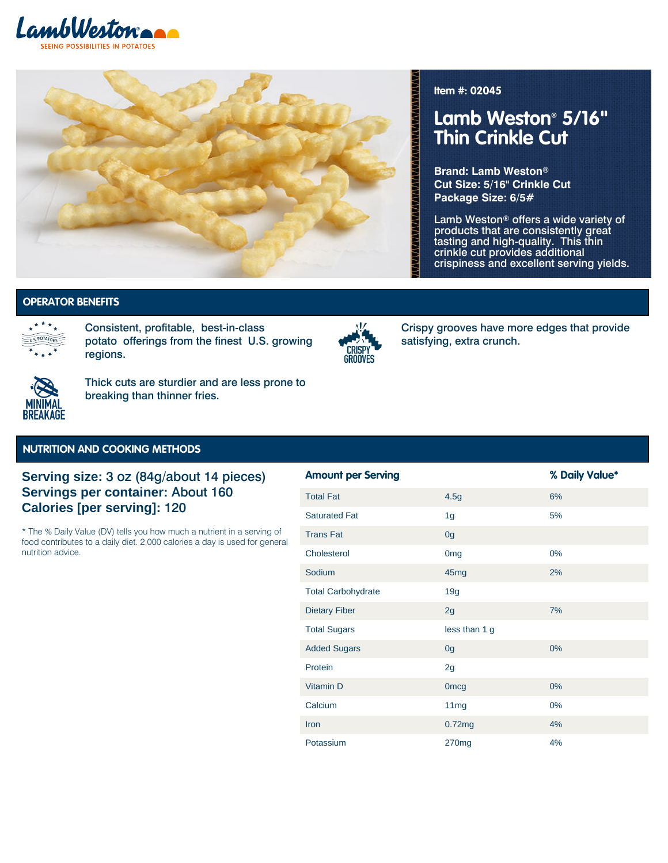



**Item #: 02045**

# **Lamb Weston® 5/16" Thin Crinkle Cut**

**Brand: Lamb Weston® Cut Size: 5/16" Crinkle Cut Package Size: 6/5#**

Lamb Weston® offers a wide variety of products that are consistently great tasting and high-quality. This thin crinkle cut provides additional crispiness and excellent serving yields.

US Potatoes | Crispy Grooves - Crinkle **US Potatoes | Crispy Grooves -**

#### **Crinkle | Minimal Breakage OPERATOR BENEFITS**



Consistent, profitable, best-in-class potato offerings from the finest U.S. growing regions.



Crispy grooves have more edges that provide satisfying, extra crunch.



Thick cuts are sturdier and are less prone to breaking than thinner fries.

#### **NUTRITION AND COOKING METHODS**

### **Serving size:** 3 oz (84g/about 14 pieces) **Servings per container:** About 160 **Calories [per serving]:** 120

\* The % Daily Value (DV) tells you how much a nutrient in a serving of food contributes to a daily diet. 2,000 calories a day is used for general nutrition advice.

| <b>Amount per Serving</b> |                  | % Daily Value* |
|---------------------------|------------------|----------------|
| <b>Total Fat</b>          | 4.5g             | 6%             |
| <b>Saturated Fat</b>      | 1 <sub>g</sub>   | 5%             |
| <b>Trans Fat</b>          | 0 <sub>g</sub>   |                |
| Cholesterol               | 0 <sub>mg</sub>  | $0\%$          |
| Sodium                    | 45 <sub>mg</sub> | 2%             |
| <b>Total Carbohydrate</b> | 19g              |                |
| <b>Dietary Fiber</b>      | 2g               | 7%             |
| <b>Total Sugars</b>       | less than 1 g    |                |
| <b>Added Sugars</b>       | 0 <sub>g</sub>   | 0%             |
| Protein                   | 2g               |                |
| Vitamin D                 | <b>Omcg</b>      | 0%             |
| Calcium                   | 11mg             | $0\%$          |
| Iron                      | 0.72mg           | 4%             |
| Potassium                 | 270mg            | 4%             |